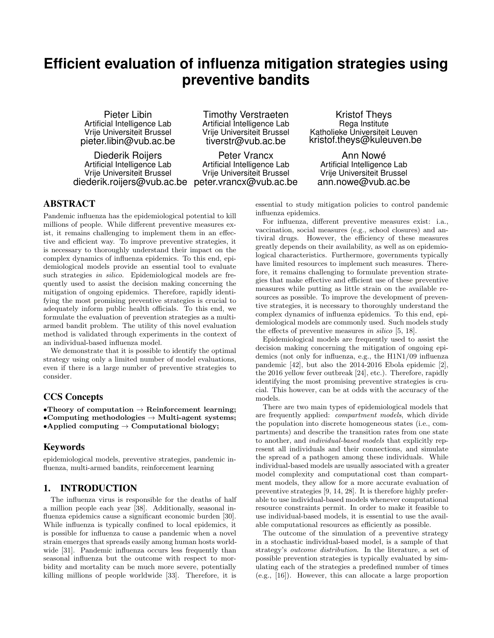# **Efficient evaluation of influenza mitigation strategies using preventive bandits**

Pieter Libin Artificial Intelligence Lab Vrije Universiteit Brussel pieter.libin@vub.ac.be

Diederik Roijers Artificial Intelligence Lab Vrije Universiteit Brussel diederik.roijers@vub.ac.be peter.vrancx@vub.ac.be

Timothy Verstraeten Artificial Intelligence Lab Vrije Universiteit Brussel tiverstr@vub.ac.be

Peter Vrancx Artificial Intelligence Lab Vrije Universiteit Brussel

Kristof Theys Rega Institute Katholieke Universiteit Leuven kristof.theys@kuleuven.be

Ann Nowé Artificial Intelligence Lab Vrije Universiteit Brussel ann.nowe@vub.ac.be

# ABSTRACT

Pandemic influenza has the epidemiological potential to kill millions of people. While different preventive measures exist, it remains challenging to implement them in an effective and efficient way. To improve preventive strategies, it is necessary to thoroughly understand their impact on the complex dynamics of influenza epidemics. To this end, epidemiological models provide an essential tool to evaluate such strategies in silico. Epidemiological models are frequently used to assist the decision making concerning the mitigation of ongoing epidemics. Therefore, rapidly identifying the most promising preventive strategies is crucial to adequately inform public health officials. To this end, we formulate the evaluation of prevention strategies as a multiarmed bandit problem. The utility of this novel evaluation method is validated through experiments in the context of an individual-based influenza model.

We demonstrate that it is possible to identify the optimal strategy using only a limited number of model evaluations, even if there is a large number of preventive strategies to consider.

#### CCS Concepts

•Theory of computation  $\rightarrow$  Reinforcement learning; •Computing methodologies  $\rightarrow$  Multi-agent systems; •Applied computing  $\rightarrow$  Computational biology;

## Keywords

epidemiological models, preventive strategies, pandemic influenza, multi-armed bandits, reinforcement learning

## 1. INTRODUCTION

The influenza virus is responsible for the deaths of half a million people each year [38]. Additionally, seasonal influenza epidemics cause a significant economic burden [30]. While influenza is typically confined to local epidemics, it is possible for influenza to cause a pandemic when a novel strain emerges that spreads easily among human hosts worldwide [31]. Pandemic influenza occurs less frequently than seasonal influenza but the outcome with respect to morbidity and mortality can be much more severe, potentially killing millions of people worldwide [33]. Therefore, it is essential to study mitigation policies to control pandemic influenza epidemics.

For influenza, different preventive measures exist: i.a., vaccination, social measures (e.g., school closures) and antiviral drugs. However, the efficiency of these measures greatly depends on their availability, as well as on epidemiological characteristics. Furthermore, governments typically have limited resources to implement such measures. Therefore, it remains challenging to formulate prevention strategies that make effective and efficient use of these preventive measures while putting as little strain on the available resources as possible. To improve the development of preventive strategies, it is necessary to thoroughly understand the complex dynamics of influenza epidemics. To this end, epidemiological models are commonly used. Such models study the effects of preventive measures in silico [5, 18].

Epidemiological models are frequently used to assist the decision making concerning the mitigation of ongoing epidemics (not only for influenza, e.g., the H1N1/09 influenza pandemic [42], but also the 2014-2016 Ebola epidemic [2], the 2016 yellow fever outbreak [24], etc.). Therefore, rapidly identifying the most promising preventive strategies is crucial. This however, can be at odds with the accuracy of the models.

There are two main types of epidemiological models that are frequently applied: compartment models, which divide the population into discrete homogeneous states (i.e., compartments) and describe the transition rates from one state to another, and individual-based models that explicitly represent all individuals and their connections, and simulate the spread of a pathogen among these individuals. While individual-based models are usually associated with a greater model complexity and computational cost than compartment models, they allow for a more accurate evaluation of preventive strategies [9, 14, 28]. It is therefore highly preferable to use individual-based models whenever computational resource constraints permit. In order to make it feasible to use individual-based models, it is essential to use the available computational resources as efficiently as possible.

The outcome of the simulation of a preventive strategy in a stochastic individual-based model, is a sample of that strategy's outcome distribution. In the literature, a set of possible prevention strategies is typically evaluated by simulating each of the strategies a predefined number of times (e.g., [16]). However, this can allocate a large proportion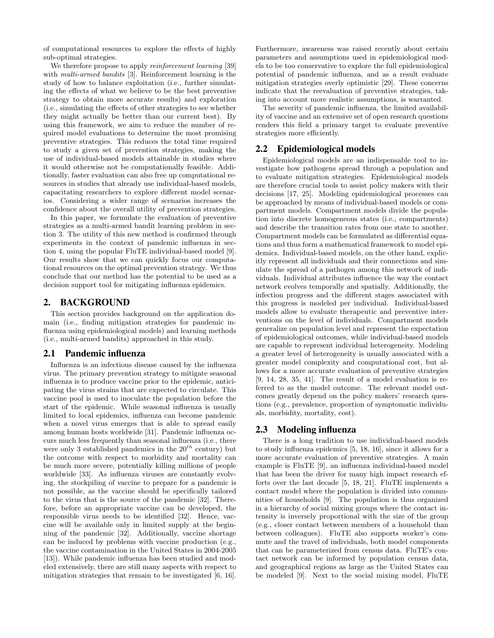of computational resources to explore the effects of highly sub-optimal strategies.

We therefore propose to apply *reinforcement learning* [39] with multi-armed bandits [3]. Reinforcement learning is the study of how to balance exploitation (i.e., further simulating the effects of what we believe to be the best preventive strategy to obtain more accurate results) and exploration (i.e., simulating the effects of other strategies to see whether they might actually be better than our current best). By using this framework, we aim to reduce the number of required model evaluations to determine the most promising preventive strategies. This reduces the total time required to study a given set of prevention strategies, making the use of individual-based models attainable in studies where it would otherwise not be computationally feasible. Additionally, faster evaluation can also free up computational resources in studies that already use individual-based models, capacitating researchers to explore different model scenarios. Considering a wider range of scenarios increases the confidence about the overall utility of prevention strategies.

In this paper, we formulate the evaluation of preventive strategies as a multi-armed bandit learning problem in section 3. The utility of this new method is confirmed through experiments in the context of pandemic influenza in section 4, using the popular FluTE individual-based model [9]. Our results show that we can quickly focus our computational resources on the optimal prevention strategy. We thus conclude that our method has the potential to be used as a decision support tool for mitigating influenza epidemics.

#### 2. BACKGROUND

This section provides background on the application domain (i.e., finding mitigation strategies for pandemic influenza using epidemiological models) and learning methods (i.e., multi-armed bandits) approached in this study.

#### 2.1 Pandemic influenza

Influenza is an infectious disease caused by the influenza virus. The primary prevention strategy to mitigate seasonal influenza is to produce vaccine prior to the epidemic, anticipating the virus strains that are expected to circulate. This vaccine pool is used to inoculate the population before the start of the epidemic. While seasonal influenza is usually limited to local epidemics, influenza can become pandemic when a novel virus emerges that is able to spread easily among human hosts worldwide [31]. Pandemic influenza occurs much less frequently than seasonal influenza (i.e., there were only 3 established pandemics in the  $20^{th}$  century) but the outcome with respect to morbidity and mortality can be much more severe, potentially killing millions of people worldwide [33]. As influenza viruses are constantly evolving, the stockpiling of vaccine to prepare for a pandemic is not possible, as the vaccine should be specifically tailored to the virus that is the source of the pandemic [32]. Therefore, before an appropriate vaccine can be developed, the responsible virus needs to be identified [32]. Hence, vaccine will be available only in limited supply at the beginning of the pandemic [32]. Additionally, vaccine shortage can be induced by problems with vaccine production (e.g., the vaccine contamination in the United States in 2004-2005 [13]). While pandemic influenza has been studied and modeled extensively, there are still many aspects with respect to mitigation strategies that remain to be investigated [6, 16].

Furthermore, awareness was raised recently about certain parameters and assumptions used in epidemiological models to be too conservative to explore the full epidemiological potential of pandemic influenza, and as a result evaluate mitigation strategies overly optimistic [29]. These concerns indicate that the reevaluation of preventive strategies, taking into account more realistic assumptions, is warranted.

The severity of pandemic influenza, the limited availability of vaccine and an extensive set of open research questions renders this field a primary target to evaluate preventive strategies more efficiently.

#### 2.2 Epidemiological models

Epidemiological models are an indispensable tool to investigate how pathogens spread through a population and to evaluate mitigation strategies. Epidemiological models are therefore crucial tools to assist policy makers with their decisions [17, 25]. Modeling epidemiological processes can be approached by means of individual-based models or compartment models. Compartment models divide the population into discrete homogeneous states (i.e., compartments) and describe the transition rates from one state to another. Compartment models can be formulated as differential equations and thus form a mathematical framework to model epidemics. Individual-based models, on the other hand, explicitly represent all individuals and their connections and simulate the spread of a pathogen among this network of individuals. Individual attributes influence the way the contact network evolves temporally and spatially. Additionally, the infection progress and the different stages associated with this progress is modeled per individual. Individual-based models allow to evaluate therapeutic and preventive interventions on the level of individuals. Compartment models generalize on population level and represent the expectation of epidemiological outcomes, while individual-based models are capable to represent individual heterogeneity. Modeling a greater level of heterogeneity is usually associated with a greater model complexity and computational cost, but allows for a more accurate evaluation of preventive strategies [9, 14, 28, 35, 41]. The result of a model evaluation is referred to as the model outcome. The relevant model outcomes greatly depend on the policy makers' research questions (e.g., prevalence, proportion of symptomatic individuals, morbidity, mortality, cost).

#### 2.3 Modeling influenza

There is a long tradition to use individual-based models to study influenza epidemics [5, 18, 16], since it allows for a more accurate evaluation of preventive strategies. A main example is FluTE [9], an influenza individual-based model that has been the driver for many high impact research efforts over the last decade [5, 18, 21]. FluTE implements a contact model where the population is divided into communities of households [9]. The population is thus organized in a hierarchy of social mixing groups where the contact intensity is inversely proportional with the size of the group (e.g., closer contact between members of a household than between colleagues). FluTE also supports worker's commute and the travel of individuals, both model components that can be parameterized from census data. FluTE's contact network can be informed by population census data, and geographical regions as large as the United States can be modeled [9]. Next to the social mixing model, FluTE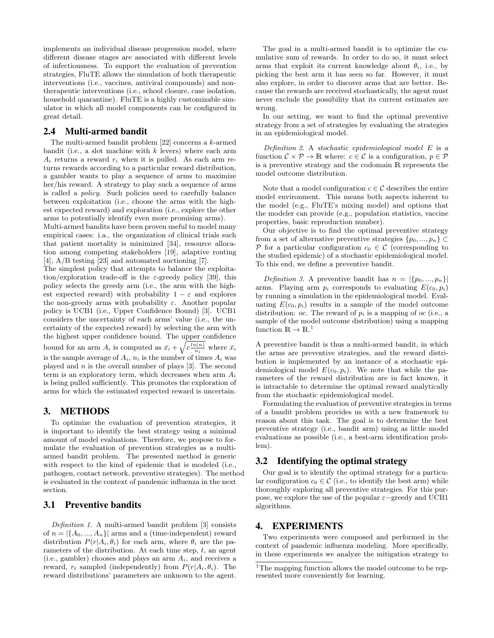implements an individual disease progression model, where different disease stages are associated with different levels of infectiousness. To support the evaluation of prevention strategies, FluTE allows the simulation of both therapeutic interventions (i.e., vaccines, antiviral compounds) and nontherapeutic interventions (i.e., school closure, case isolation, household quarantine). FluTE is a highly customizable simulator in which all model components can be configured in great detail.

#### 2.4 Multi-armed bandit

The multi-armed bandit problem [22] concerns a k-armed bandit (i.e., a slot machine with  $k$  levers) where each arm  $A_i$  returns a reward  $r_i$  when it is pulled. As each arm returns rewards according to a particular reward distribution, a gambler wants to play a sequence of arms to maximize her/his reward. A strategy to play such a sequence of arms is called a policy. Such policies need to carefully balance between exploitation (i.e., choose the arms with the highest expected reward) and exploration (i.e., explore the other arms to potentially identify even more promising arms).

Multi-armed bandits have been proven useful to model many empirical cases: i.a., the organization of clinical trials such that patient mortality is minimized [34], resource allocation among competing stakeholders [19], adaptive routing [4], A/B testing [23] and automated auctioning [7].

The simplest policy that attempts to balance the exploitation/exploration trade-off is the  $\varepsilon$ -greedy policy [39], this policy selects the greedy arm (i.e., the arm with the highest expected reward) with probability  $1 - \varepsilon$  and explores the non-greedy arms with probability  $\varepsilon$ . Another popular policy is UCB1 (i.e., Upper Confidence Bound) [3]. UCB1 considers the uncertainty of each arms' value (i.e., the uncertainty of the expected reward) by selecting the arm with the highest upper confidence bound. The upper confidence bound for an arm  $A_i$  is computed as  $\bar{x}_i + \sqrt{c \frac{\ln(n)}{n_i}}$  where  $\bar{x}_i$ is the sample average of  $A_i$ ,  $n_i$  is the number of times  $A_i$  was played and  $n$  is the overall number of plays [3]. The second term is an exploratory term, which decreases when arm  $A_i$ is being pulled sufficiently. This promotes the exploration of arms for which the estimated expected reward is uncertain.

#### 3. METHODS

To optimize the evaluation of prevention strategies, it is important to identify the best strategy using a minimal amount of model evaluations. Therefore, we propose to formulate the evaluation of prevention strategies as a multiarmed bandit problem. The presented method is generic with respect to the kind of epidemic that is modeled (i.e., pathogen, contact network, preventive strategies). The method is evaluated in the context of pandemic influenza in the next section.

## 3.1 Preventive bandits

Definition 1. A multi-armed bandit problem [3] consists of  $n = |\{A_0, ..., A_n\}|$  arms and a (time-independent) reward distribution  $P(r|A_i, \theta_i)$  for each arm, where  $\theta_i$  are the parameters of the distribution. At each time step,  $t$ , an agent (i.e., gambler) chooses and plays an arm  $A_i$ , and receives a reward,  $r_t$  sampled (independently) from  $P(r|A_i, \theta_i)$ . The reward distributions' parameters are unknown to the agent.

The goal in a multi-armed bandit is to optimize the cumulative sum of rewards. In order to do so, it must select arms that exploit its current knowledge about  $\theta_i$ , i.e., by picking the best arm it has seen so far. However, it must also explore, in order to discover arms that are better. Because the rewards are received stochastically, the agent must never exclude the possibility that its current estimates are wrong.

In our setting, we want to find the optimal preventive strategy from a set of strategies by evaluating the strategies in an epidemiological model.

Definition 2. A stochastic epidemiological model  $E$  is a function  $\mathcal{C} \times \mathcal{P} \to \mathbb{R}$  where:  $c \in \mathcal{C}$  is a configuration,  $p \in \mathcal{P}$ is a preventive strategy and the codomain R represents the model outcome distribution.

Note that a model configuration  $c \in \mathcal{C}$  describes the entire model environment. This means both aspects inherent to the model (e.g., FluTE's mixing model) and options that the modeler can provide (e.g., population statistics, vaccine properties, basic reproduction number).

Our objective is to find the optimal preventive strategy from a set of alternative preventive strategies  $\{p_0, ..., p_n\}$ P for a particular configuration  $c_0 \in \mathcal{C}$  (corresponding to the studied epidemic) of a stochastic epidemiological model. To this end, we define a preventive bandit.

Definition 3. A preventive bandit has  $n = |\{p_0, ..., p_n\}|$ arms. Playing arm  $p_i$  corresponds to evaluating  $E(c_0, p_i)$ by running a simulation in the epidemiological model. Evaluating  $E(c_0, p_i)$  results in a sample of the model outcome distribution: oc. The reward of  $p_i$  is a mapping of oc (i.e., a sample of the model outcome distribution) using a mapping function  $\mathbb{R} \to \mathbb{R}$ .<sup>1</sup>

A preventive bandit is thus a multi-armed bandit, in which the arms are preventive strategies, and the reward distribution is implemented by an instance of a stochastic epidemiological model  $E(c_0, p_i)$ . We note that while the parameters of the reward distribution are in fact known, it is intractable to determine the optimal reward analytically from the stochastic epidemiological model.

Formulating the evaluation of preventive strategies in terms of a bandit problem provides us with a new framework to reason about this task. The goal is to determine the best preventive strategy (i.e., bandit arm) using as little model evaluations as possible (i.e., a best-arm identification problem).

#### 3.2 Identifying the optimal strategy

Our goal is to identify the optimal strategy for a particular configuration  $c_0 \in \mathcal{C}$  (i.e., to identify the best arm) while thoroughly exploring all preventive strategies. For this purpose, we explore the use of the popular  $\varepsilon$ -greedy and UCB1 algorithms.

#### 4. EXPERIMENTS

Two experiments were composed and performed in the context of pandemic influenza modeling. More specifically, in these experiments we analyze the mitigation strategy to

<sup>&</sup>lt;sup>1</sup>The mapping function allows the model outcome to be represented more conveniently for learning.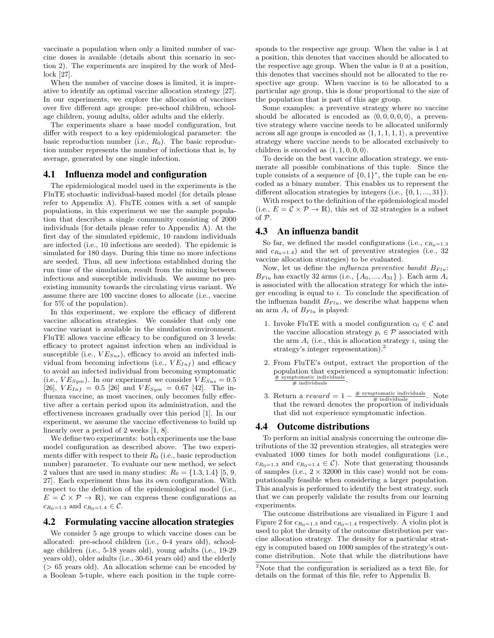vaccinate a population when only a limited number of vaccine doses is available (details about this scenario in section 2). The experiments are inspired by the work of Medlock [27].

When the number of vaccine doses is limited, it is imperative to identify an optimal vaccine allocation strategy [27]. In our experiments, we explore the allocation of vaccines over five different age groups: pre-school children, schoolage children, young adults, older adults and the elderly.

The experiments share a base model configuration, but differ with respect to a key epidemiological parameter: the basic reproduction number (i.e.,  $R_0$ ). The basic reproduction number represents the number of infections that is, by average, generated by one single infection.

#### 4.1 Influenza model and configuration

The epidemiological model used in the experiments is the FluTE stochastic individual-based model (for details please refer to Appendix A). FluTE comes with a set of sample populations, in this experiment we use the sample population that describes a single community consisting of 2000 individuals (for details please refer to Appendix A). At the first day of the simulated epidemic, 10 random individuals are infected (i.e., 10 infections are seeded). The epidemic is simulated for 180 days. During this time no more infections are seeded. Thus, all new infections established during the run time of the simulation, result from the mixing between infectious and susceptible individuals. We assume no preexisting immunity towards the circulating virus variant. We assume there are 100 vaccine doses to allocate (i.e., vaccine for 5% of the population).

In this experiment, we explore the efficacy of different vaccine allocation strategies. We consider that only one vaccine variant is available in the simulation environment. FluTE allows vaccine efficacy to be configured on 3 levels: efficacy to protect against infection when an individual is susceptible (i.e.,  $VE_{Sus}$ ), efficacy to avoid an infected individual from becoming infectious (i.e.,  $VE_{Inf}$ ) and efficacy to avoid an infected individual from becoming symptomatic (i.e.,  $VE_{Sym}$ ). In our experiment we consider  $VE_{Sus} = 0.5$ [26],  $VE_{Inf} = 0.5$  [26] and  $VE_{Sym} = 0.67$  [42]. The influenza vaccine, as most vaccines, only becomes fully effective after a certain period upon its administration, and the effectiveness increases gradually over this period [1]. In our experiment, we assume the vaccine effectiveness to build up linearly over a period of 2 weeks [1, 8].

We define two experiments: both experiments use the base model configuration as described above. The two experiments differ with respect to their  $R_0$  (i.e., basic reproduction number) parameter. To evaluate our new method, we select 2 values that are used in many studies:  $R_0 = \{1.3, 1.4\}$  [5, 9, 27]. Each experiment thus has its own configuration. With respect to the definition of the epidemiological model (i.e.,  $E = \mathcal{C} \times \mathcal{P} \rightarrow \mathbb{R}$ , we can express these configurations as  $c_{R_0=1.3}$  and  $c_{R_0=1.4} \in \mathcal{C}$ .

#### 4.2 Formulating vaccine allocation strategies

We consider 5 age groups to which vaccine doses can be allocated: pre-school children (i.e., 0-4 years old), schoolage children (i.e., 5-18 years old), young adults (i.e., 19-29 years old), older adults (i.e., 30-64 years old) and the elderly  $(> 65$  years old). An allocation scheme can be encoded by a Boolean 5-tuple, where each position in the tuple corresponds to the respective age group. When the value is 1 at a position, this denotes that vaccines should be allocated to the respective age group. When the value is 0 at a position, this denotes that vaccines should not be allocated to the respective age group. When vaccine is to be allocated to a particular age group, this is done proportional to the size of the population that is part of this age group.

Some examples: a preventive strategy where no vaccine should be allocated is encoded as  $(0, 0, 0, 0, 0)$ , a preventive strategy where vaccine needs to be allocated uniformly across all age groups is encoded as  $\langle 1, 1, 1, 1, 1 \rangle$ , a preventive strategy where vaccine needs to be allocated exclusively to children is encoded as  $\langle 1, 1, 0, 0, 0 \rangle$ .

To decide on the best vaccine allocation strategy, we enumerate all possible combinations of this tuple. Since the tuple consists of a sequence of  $\{0,1\}^*$ , the tuple can be encoded as a binary number. This enables us to represent the different allocation strategies by integers (i.e.,  $\{0, 1, ..., 31\}$ ).

With respect to the definition of the epidemiological model (i.e.,  $E = \mathcal{C} \times \mathcal{P} \to \mathbb{R}$ ), this set of 32 strategies is a subset of P.

#### 4.3 An influenza bandit

So far, we defined the model configurations (i.e.,  $c_{R_0=1.3}$ ) and  $c_{R_0=1.4}$ ) and the set of preventive strategies (i.e., 32) vaccine allocation strategies) to be evaluated.

Now, let us define the *influenza preventive bandit*  $B_{Flu}$ :  $B_{Flu}$  has exactly 32 arms (i.e.,  $\{A_0, ..., A_{31}\}$ ). Each arm  $A_i$ is associated with the allocation strategy for which the integer encoding is equal to  $i$ . To conclude the specification of the influenza bandit  $B_{Flu}$ , we describe what happens when an arm  $A_i$  of  $B_{Flu}$  is played:

- 1. Invoke FluTE with a model configuration  $c_0 \in \mathcal{C}$  and the vaccine allocation strategy  $p_i \in \mathcal{P}$  associated with the arm  $A_i$  (i.e., this is allocation strategy  $i$ , using the strategy's integer representation).
- 2. From FluTE's output, extract the proportion of the population that experienced a symptomatic infection:  $\frac{\# \text{ symptomatic individuals}}{\# \text{ individuals}}$ .
- 3. Return a  $reward = 1 \frac{\text{\# symptomatic individuals}}{\text{\# individuals}}$ . Note that the reward denotes the proportion of individuals that did not experience symptomatic infection.

#### 4.4 Outcome distributions

To perform an initial analysis concerning the outcome distributions of the 32 prevention strategies, all strategies were evaluated 1000 times for both model configurations (i.e.,  $c_{R_0=1,3}$  and  $c_{R_0=1,4} \in \mathcal{C}$ . Note that generating thousands of samples (i.e.,  $2 \times 32000$  in this case) would not be computationally feasible when considering a larger population. This analysis is performed to identify the best strategy, such that we can properly validate the results from our learning experiments.

The outcome distributions are visualized in Figure 1 and Figure 2 for  $c_{R_0=1.3}$  and  $c_{R_0=1.4}$  respectively. A violin plot is used to plot the density of the outcome distribution per vaccine allocation strategy. The density for a particular strategy is computed based on 1000 samples of the strategy's outcome distribution. Note that while the distributions have

<sup>2</sup>Note that the configuration is serialized as a text file, for details on the format of this file, refer to Appendix B.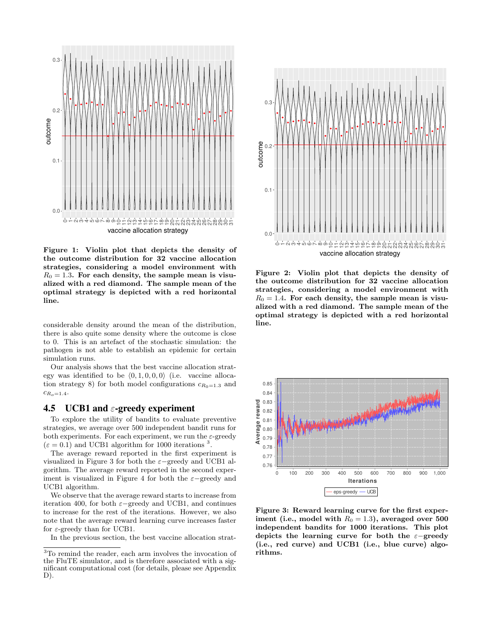

Figure 1: Violin plot that depicts the density of the outcome distribution for 32 vaccine allocation strategies, considering a model environment with  $R_0 = 1.3$ . For each density, the sample mean is visualized with a red diamond. The sample mean of the optimal strategy is depicted with a red horizontal line.

considerable density around the mean of the distribution, there is also quite some density where the outcome is close to 0. This is an artefact of the stochastic simulation: the pathogen is not able to establish an epidemic for certain simulation runs.

Our analysis shows that the best vaccine allocation strategy was identified to be  $(0, 1, 0, 0, 0)$  (i.e. vaccine allocation strategy 8) for both model configurations  $c_{R_0=1.3}$  and  $c_{R_o=1.4}$ .

### 4.5 UCB1 and  $\varepsilon$ -greedy experiment

To explore the utility of bandits to evaluate preventive strategies, we average over 500 independent bandit runs for both experiments. For each experiment, we run the  $\varepsilon$ -greedy  $(\varepsilon = 0.1)$  and UCB1 algorithm for 1000 iterations<sup>3</sup>.

The average reward reported in the first experiment is visualized in Figure 3 for both the  $\varepsilon$ -greedy and UCB1 algorithm. The average reward reported in the second experiment is visualized in Figure 4 for both the  $\varepsilon$ -greedy and UCB1 algorithm.

We observe that the average reward starts to increase from iteration 400, for both  $\varepsilon$ -greedy and UCB1, and continues to increase for the rest of the iterations. However, we also note that the average reward learning curve increases faster for  $\varepsilon$ -greedy than for UCB1.

In the previous section, the best vaccine allocation strat-



Figure 2: Violin plot that depicts the density of the outcome distribution for 32 vaccine allocation strategies, considering a model environment with  $R_0 = 1.4$ . For each density, the sample mean is visualized with a red diamond. The sample mean of the optimal strategy is depicted with a red horizontal line.



Figure 3: Reward learning curve for the first experiment (i.e., model with  $R_0 = 1.3$ ), averaged over 500 independent bandits for 1000 iterations. This plot depicts the learning curve for both the ε−greedy (i.e., red curve) and UCB1 (i.e., blue curve) algorithms.

<sup>3</sup>To remind the reader, each arm involves the invocation of the FluTE simulator, and is therefore associated with a significant computational cost (for details, please see Appendix D).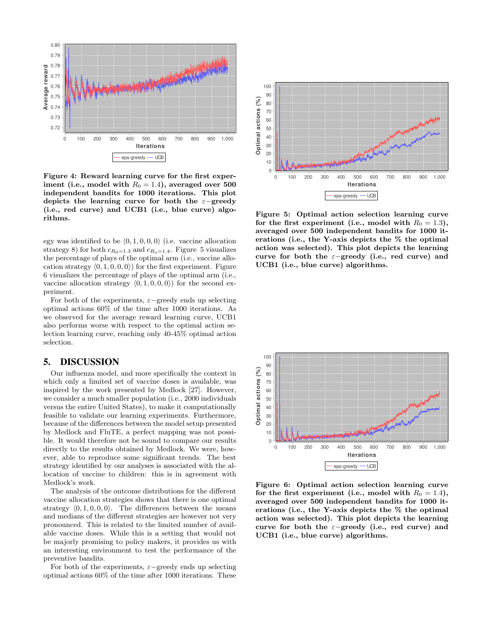

Figure 4: Reward learning curve for the first experiment (i.e., model with  $R_0 = 1.4$ ), averaged over 500 independent bandits for 1000 iterations. This plot depicts the learning curve for both the ε−greedy (i.e., red curve) and UCB1 (i.e., blue curve) algorithms.

egy was identified to be  $(0, 1, 0, 0, 0)$  (i.e. vaccine allocation strategy 8) for both  $c_{R_0=1.3}$  and  $c_{R_0=1.4}$ . Figure 5 visualizes the percentage of plays of the optimal arm (i.e., vaccine allocation strategy  $(0, 1, 0, 0, 0)$  for the first experiment. Figure 6 visualizes the percentage of plays of the optimal arm (i.e., vaccine allocation strategy  $(0, 1, 0, 0, 0)$  for the second experiment.

For both of the experiments,  $\varepsilon$ -greedy ends up selecting optimal actions 60% of the time after 1000 iterations. As we observed for the average reward learning curve, UCB1 also performs worse with respect to the optimal action selection learning curve, reaching only 40-45% optimal action selection.

#### 5. DISCUSSION

Our influenza model, and more specifically the context in which only a limited set of vaccine doses is available, was inspired by the work presented by Medlock [27]. However, we consider a much smaller population (i.e., 2000 individuals versus the entire United States), to make it computationally feasible to validate our learning experiments. Furthermore, because of the differences between the model setup presented by Medlock and FluTE, a perfect mapping was not possible. It would therefore not be sound to compare our results directly to the results obtained by Medlock. We were, however, able to reproduce some significant trends. The best strategy identified by our analyses is associated with the allocation of vaccine to children: this is in agreement with Medlock's work.

The analysis of the outcome distributions for the different vaccine allocation strategies shows that there is one optimal strategy  $(0, 1, 0, 0, 0)$ . The differences between the means and medians of the different strategies are however not very pronounced. This is related to the limited number of available vaccine doses. While this is a setting that would not be majorly promising to policy makers, it provides us with an interesting environment to test the performance of the preventive bandits.

For both of the experiments,  $\varepsilon$ -greedy ends up selecting optimal actions 60% of the time after 1000 iterations. These



Figure 5: Optimal action selection learning curve for the first experiment (i.e., model with  $R_0 = 1.3$ ), averaged over 500 independent bandits for 1000 iterations (i.e., the Y-axis depicts the % the optimal action was selected). This plot depicts the learning curve for both the  $\varepsilon$ -greedy (i.e., red curve) and UCB1 (i.e., blue curve) algorithms.



Figure 6: Optimal action selection learning curve for the first experiment (i.e., model with  $R_0 = 1.4$ ), averaged over 500 independent bandits for 1000 iterations (i.e., the Y-axis depicts the % the optimal action was selected). This plot depicts the learning curve for both the  $\varepsilon$ -greedy (i.e., red curve) and UCB1 (i.e., blue curve) algorithms.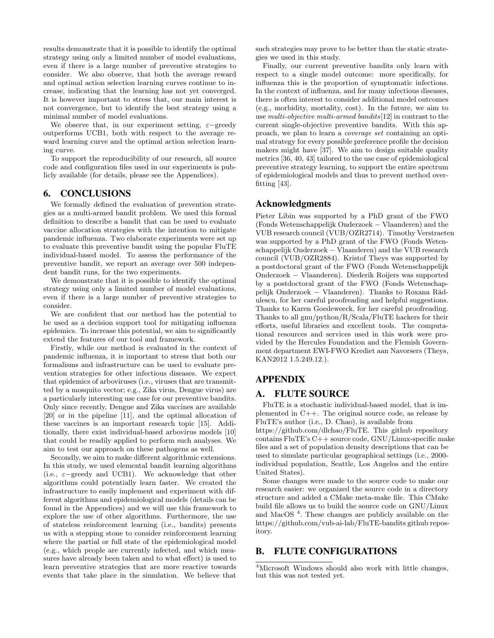results demonstrate that it is possible to identify the optimal strategy using only a limited number of model evaluations, even if there is a large number of preventive strategies to consider. We also observe, that both the average reward and optimal action selection learning curves continue to increase, indicating that the learning has not yet converged. It is however important to stress that, our main interest is not convergence, but to identify the best strategy using a minimal number of model evaluations.

We observe that, in our experiment setting,  $\varepsilon$ -greedy outperforms UCB1, both with respect to the average reward learning curve and the optimal action selection learning curve.

To support the reproducibility of our research, all source code and configuration files used in our experiments is publicly available (for details, please see the Appendices).

#### 6. CONCLUSIONS

We formally defined the evaluation of prevention strategies as a multi-armed bandit problem. We used this formal definition to describe a bandit that can be used to evaluate vaccine allocation strategies with the intention to mitigate pandemic influenza. Two elaborate experiments were set up to evaluate this preventive bandit using the popular FluTE individual-based model. To assess the performance of the preventive bandit, we report an average over 500 independent bandit runs, for the two experiments.

We demonstrate that it is possible to identify the optimal strategy using only a limited number of model evaluations, even if there is a large number of preventive strategies to consider.

We are confident that our method has the potential to be used as a decision support tool for mitigating influenza epidemics. To increase this potential, we aim to significantly extend the features of our tool and framework.

Firstly, while our method is evaluated in the context of pandemic influenza, it is important to stress that both our formalisms and infrastructure can be used to evaluate prevention strategies for other infectious diseases. We expect that epidemics of arboviruses (i.e., viruses that are transmitted by a mosquito vector; e.g., Zika virus, Dengue virus) are a particularly interesting use case for our preventive bandits. Only since recently, Dengue and Zika vaccines are available [20] or in the pipeline [11], and the optimal allocation of these vaccines is an important research topic [15]. Additionally, there exist individual-based arbovirus models [10] that could be readily applied to perform such analyses. We aim to test our approach on these pathogens as well.

Secondly, we aim to make different algorithmic extensions. In this study, we used elemental bandit learning algorithms (i.e.,  $\varepsilon$ -greedy and UCB1). We acknowledge that other algorithms could potentially learn faster. We created the infrastructure to easily implement and experiment with different algorithms and epidemiological models (details can be found in the Appendices) and we will use this framework to explore the use of other algorithms. Furthermore, the use of stateless reinforcement learning (i.e., bandits) presents us with a stepping stone to consider reinforcement learning where the partial or full state of the epidemiological model (e.g., which people are currently infected, and which measures have already been taken and to what effect) is used to learn preventive strategies that are more reactive towards events that take place in the simulation. We believe that such strategies may prove to be better than the static strategies we used in this study.

Finally, our current preventive bandits only learn with respect to a single model outcome: more specifically, for influenza this is the proportion of symptomatic infections. In the context of influenza, and for many infectious diseases, there is often interest to consider additional model outcomes (e.g., morbidity, mortality, cost). In the future, we aim to use multi-objective multi-armed bandits[12] in contrast to the current single-objective preventive bandits. With this approach, we plan to learn a coverage set containing an optimal strategy for every possible preference profile the decision makers might have [37]. We aim to design suitable quality metrics [36, 40, 43] tailored to the use case of epidemiological preventive strategy learning, to support the entire spectrum of epidemiological models and thus to prevent method overfitting [43].

#### Acknowledgments

Pieter Libin was supported by a PhD grant of the FWO (Fonds Wetenschappelijk Onderzoek − Vlaanderen) and the VUB research council (VUB/OZR2714). Timothy Verstraeten was supported by a PhD grant of the FWO (Fonds Wetenschappelijk Onderzoek − Vlaanderen) and the VUB research council (VUB/OZR2884). Kristof Theys was supported by a postdoctoral grant of the FWO (Fonds Wetenschappelijk Onderzoek − Vlaanderen). Diederik Roijers was supported by a postdoctoral grant of the FWO (Fonds Wetenschappelijk Onderzoek – Vlaanderen). Thanks to Roxana Rădulescu, for her careful proofreading and helpful suggestions. Thanks to Karen Goedeweeck, for her careful proofreading. Thanks to all gnu/python/R/Scala/FluTE hackers for their efforts, useful libraries and excellent tools. The computational resources and services used in this work were provided by the Hercules Foundation and the Flemish Government department EWI-FWO Krediet aan Navorsers (Theys, KAN2012 1.5.249.12.).

#### APPENDIX

## A. FLUTE SOURCE

FluTE is a stochastic individual-based model, that is implemented in C++. The original source code, as release by FluTE's author (i.e., D. Chao), is available from

https://github.com/dlchao/FluTE. This github repository contains FluTE's C++ source code, GNU/Linux-specific make files and a set of population density descriptions that can be used to simulate particular geographical settings (i.e., 2000 individual population, Seattle, Los Angelos and the entire United States).

Some changes were made to the source code to make our research easier: we organized the source code in a directory structure and added a CMake meta-make file. This CMake build file allows us to build the source code on GNU/Linux and MacOS<sup>4</sup>. These changes are publicly available on the https://github.com/vub-ai-lab/FluTE-bandits github repository.

## B. FLUTE CONFIGURATIONS

<sup>4</sup>Microsoft Windows should also work with little changes, but this was not tested yet.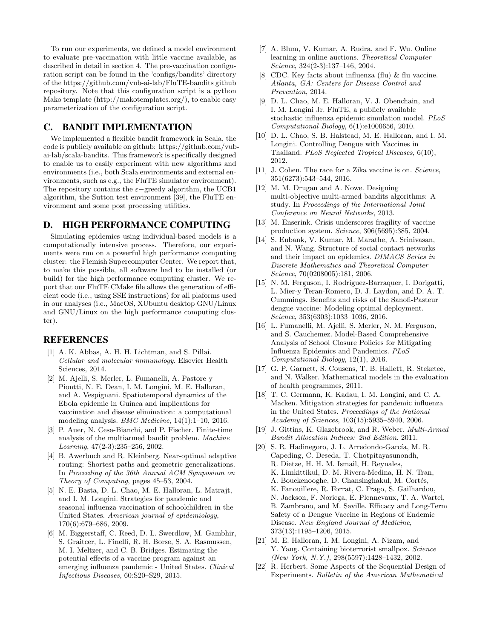To run our experiments, we defined a model environment to evaluate pre-vaccination with little vaccine available, as described in detail in section 4. The pre-vaccination configuration script can be found in the 'configs/bandits' directory of the https://github.com/vub-ai-lab/FluTE-bandits github repository. Note that this configuration script is a python Mako template (http://makotemplates.org/), to enable easy parameterization of the configuration script.

## C. BANDIT IMPLEMENTATION

We implemented a flexible bandit framework in Scala, the code is publicly available on github: https://github.com/vubai-lab/scala-bandits. This framework is specifically designed to enable us to easily experiment with new algorithms and environments (i.e., both Scala environments and external environments, such as e.g., the FluTE simulator environment). The repository contains the  $\varepsilon$ -greedy algorithm, the UCB1 algorithm, the Sutton test environment [39], the FluTE environment and some post processing utilities.

## D. HIGH PERFORMANCE COMPUTING

Simulating epidemics using individual-based models is a computationally intensive process. Therefore, our experiments were run on a powerful high performance computing cluster: the Flemish Supercomputer Center. We report that, to make this possible, all software had to be installed (or build) for the high performance computing cluster. We report that our FluTE CMake file allows the generation of efficient code (i.e., using SSE instructions) for all plaforms used in our analyses (i.e., MacOS, XUbuntu desktop GNU/Linux and GNU/Linux on the high performance computing cluster).

#### REFERENCES

- [1] A. K. Abbas, A. H. H. Lichtman, and S. Pillai. Cellular and molecular immunology. Elsevier Health Sciences, 2014.
- [2] M. Ajelli, S. Merler, L. Fumanelli, A. Pastore y Piontti, N. E. Dean, I. M. Longini, M. E. Halloran, and A. Vespignani. Spatiotemporal dynamics of the Ebola epidemic in Guinea and implications for vaccination and disease elimination: a computational modeling analysis. BMC Medicine, 14(1):1–10, 2016.
- [3] P. Auer, N. Cesa-Bianchi, and P. Fischer. Finite-time analysis of the multiarmed bandit problem. Machine Learning, 47(2-3):235–256, 2002.
- [4] B. Awerbuch and R. Kleinberg. Near-optimal adaptive routing: Shortest paths and geometric generalizations. In Proceeding of the 36th Annual ACM Symposium on Theory of Computing, pages 45–53, 2004.
- [5] N. E. Basta, D. L. Chao, M. E. Halloran, L. Matrajt, and I. M. Longini. Strategies for pandemic and seasonal influenza vaccination of schoolchildren in the United States. American journal of epidemiology, 170(6):679–686, 2009.
- [6] M. Biggerstaff, C. Reed, D. L. Swerdlow, M. Gambhir, S. Graitcer, L. Finelli, R. H. Borse, S. A. Rasmussen, M. I. Meltzer, and C. B. Bridges. Estimating the potential effects of a vaccine program against an emerging influenza pandemic - United States. Clinical Infectious Diseases, 60:S20–S29, 2015.
- [7] A. Blum, V. Kumar, A. Rudra, and F. Wu. Online learning in online auctions. Theoretical Computer Science, 324(2-3):137–146, 2004.
- [8] CDC. Key facts about influenza (flu) & flu vaccine. Atlanta, GA: Centers for Disease Control and Prevention, 2014.
- [9] D. L. Chao, M. E. Halloran, V. J. Obenchain, and I. M. Longini Jr. FluTE, a publicly available stochastic influenza epidemic simulation model. PLoS Computational Biology, 6(1):e1000656, 2010.
- [10] D. L. Chao, S. B. Halstead, M. E. Halloran, and I. M. Longini. Controlling Dengue with Vaccines in Thailand. PLoS Neglected Tropical Diseases, 6(10), 2012.
- [11] J. Cohen. The race for a Zika vaccine is on. Science, 351(6273):543–544, 2016.
- [12] M. M. Drugan and A. Nowe. Designing multi-objective multi-armed bandits algorithms: A study. In Proceedings of the International Joint Conference on Neural Networks, 2013.
- [13] M. Enserink. Crisis underscores fragility of vaccine production system. Science, 306(5695):385, 2004.
- [14] S. Eubank, V. Kumar, M. Marathe, A. Srinivasan, and N. Wang. Structure of social contact networks and their impact on epidemics. DIMACS Series in Discrete Mathematics and Theoretical Computer Science, 70(0208005):181, 2006.
- [15] N. M. Ferguson, I. Rodríguez-Barraquer, I. Dorigatti, L. Mier-y Teran-Romero, D. J. Laydon, and D. A. T. Cummings. Benefits and risks of the Sanofi-Pasteur dengue vaccine: Modeling optimal deployment. Science, 353(6303):1033–1036, 2016.
- [16] L. Fumanelli, M. Ajelli, S. Merler, N. M. Ferguson, and S. Cauchemez. Model-Based Comprehensive Analysis of School Closure Policies for Mitigating Influenza Epidemics and Pandemics. PLoS Computational Biology, 12(1), 2016.
- [17] G. P. Garnett, S. Cousens, T. B. Hallett, R. Steketee, and N. Walker. Mathematical models in the evaluation of health programmes, 2011.
- [18] T. C. Germann, K. Kadau, I. M. Longini, and C. A. Macken. Mitigation strategies for pandemic influenza in the United States. Proceedings of the National Academy of Sciences, 103(15):5935–5940, 2006.
- [19] J. Gittins, K. Glazebrook, and R. Weber. Multi-Armed Bandit Allocation Indices: 2nd Edition. 2011.
- [20] S. R. Hadinegoro, J. L. Arredondo-García, M. R. Capeding, C. Deseda, T. Chotpitayasunondh, R. Dietze, H. H. M. Ismail, H. Reynales, K. Limkittikul, D. M. Rivera-Medina, H. N. Tran, A. Bouckenooghe, D. Chansinghakul, M. Cortés, K. Fanouillere, R. Forrat, C. Frago, S. Gailhardou, N. Jackson, F. Noriega, E. Plennevaux, T. A. Wartel, B. Zambrano, and M. Saville. Efficacy and Long-Term Safety of a Dengue Vaccine in Regions of Endemic Disease. New England Journal of Medicine, 373(13):1195–1206, 2015.
- [21] M. E. Halloran, I. M. Longini, A. Nizam, and Y. Yang. Containing bioterrorist smallpox. Science (New York, N.Y.), 298(5597):1428–1432, 2002.
- [22] R. Herbert. Some Aspects of the Sequential Design of Experiments. Bulletin of the American Mathematical